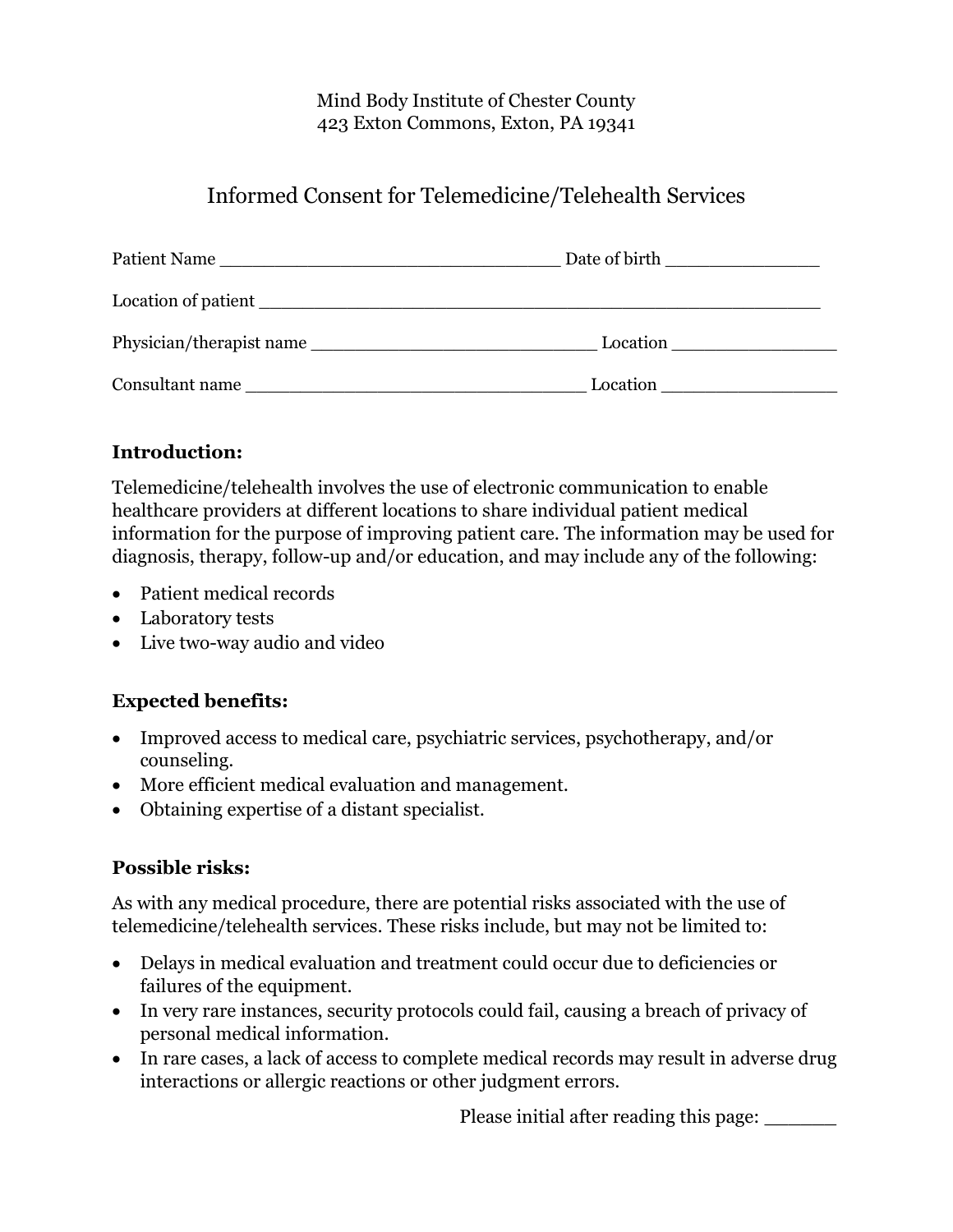#### Mind Body Institute of Chester County 423 Exton Commons, Exton, PA 19341

# Informed Consent for Telemedicine/Telehealth Services

| Patient Name             |          |
|--------------------------|----------|
|                          |          |
| Physician/therapist name | Location |
| Consultant name          | Location |

## **Introduction:**

Telemedicine/telehealth involves the use of electronic communication to enable healthcare providers at different locations to share individual patient medical information for the purpose of improving patient care. The information may be used for diagnosis, therapy, follow-up and/or education, and may include any of the following:

- Patient medical records
- Laboratory tests
- Live two-way audio and video

## **Expected benefits:**

- Improved access to medical care, psychiatric services, psychotherapy, and/or counseling.
- More efficient medical evaluation and management.
- Obtaining expertise of a distant specialist.

#### **Possible risks:**

As with any medical procedure, there are potential risks associated with the use of telemedicine/telehealth services. These risks include, but may not be limited to:

- Delays in medical evaluation and treatment could occur due to deficiencies or failures of the equipment.
- In very rare instances, security protocols could fail, causing a breach of privacy of personal medical information.
- In rare cases, a lack of access to complete medical records may result in adverse drug interactions or allergic reactions or other judgment errors.

Please initial after reading this page: